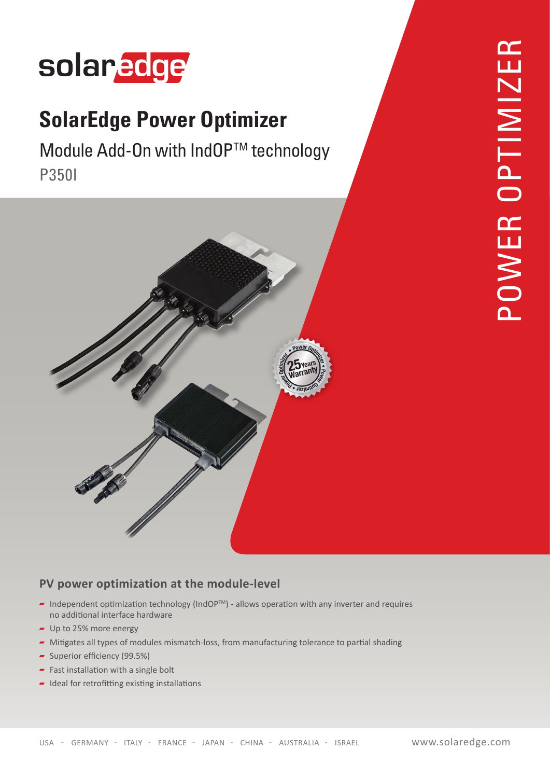# solaredge

## **SolarEdge Power Optimizer**

Module Add-On with IndOP™ technology P350I



### PV power optimization at the module-level

- Independent optimization technology (IndOP<sup>TM</sup>) allows operation with any inverter and requires no additional interface hardware
- $-$  Up to 25% more energy
- Mitigates all types of modules mismatch-loss, from manufacturing tolerance to partial shading
- Superior efficiency  $(99.5%)$
- $\overline{\phantom{a}}$  Fast installation with a single bolt
- $\blacksquare$  Ideal for retrofitting existing installations